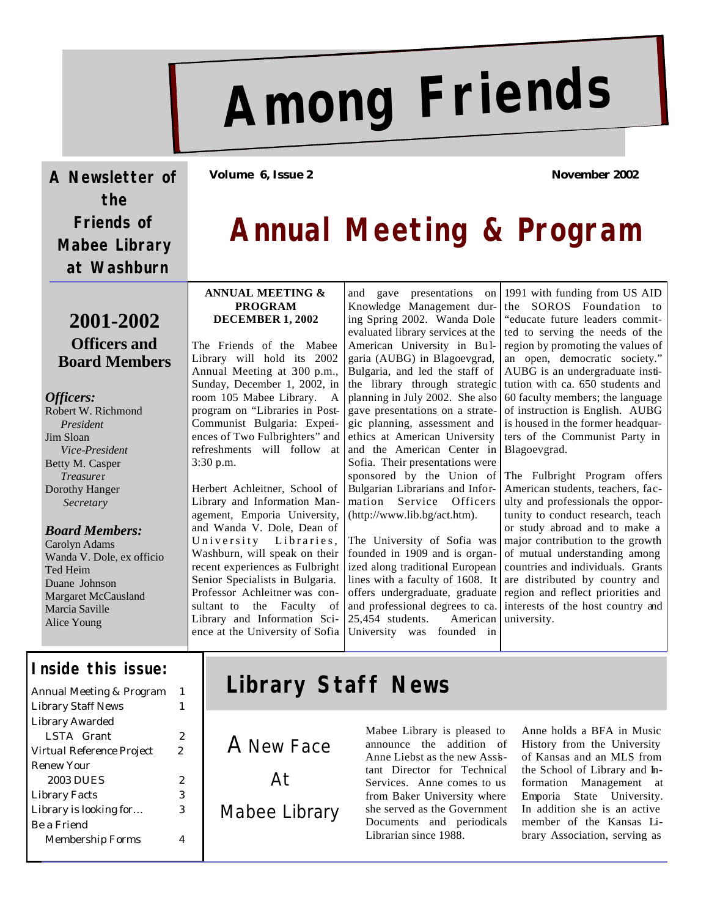# **Among Friends**

**A Newsletter of the Friends of Mabee Library at Washburn** 

## **2001-2002 Officers and Board Members**

#### *Officers:*

Robert W. Richmond *President* Jim Sloan *Vice-President* Betty M. Casper *Treasure*r Dorothy Hanger *Secretary*

#### *Board Members:*

Carolyn Adams Wanda V. Dole, ex officio Ted Heim Duane Johnson Margaret McCausland Marcia Saville Alice Young

#### **Inside this issue:**

| Annual Meeting & Program  | 1  |
|---------------------------|----|
| <b>Library Staff News</b> |    |
| Library Awarded           |    |
| LSTA Grant                | 2  |
| Virtual Reference Project | 2. |
| Renew Your                |    |
| 2003 DUES                 | 2. |
| <b>Library Facts</b>      | 3  |
| Library is looking for    | з  |
| Be a Friend               |    |
| Membership Forms          |    |
|                           |    |

**Volume 6, Issue 2 November 2002**

# **Annual Meeting & Program**

#### **ANNUAL MEETING & PROGRAM DECEMBER 1, 2002**

The Friends of the Mabee Library will hold its 2002 Annual Meeting at 300 p.m., Sunday, December 1, 2002, in room 105 Mabee Library. A program on "Libraries in Post-Communist Bulgaria: Experiences of Two Fulbrighters" and refreshments will follow at 3:30 p.m.

Herbert Achleitner, School of Library and Information Management, Emporia University, and Wanda V. Dole, Dean of University Libraries, Washburn, will speak on their recent experiences as Fulbright Senior Specialists in Bulgaria. Professor Achleitner was consultant to the Faculty of Library and Information Science at the University of Sofia and gave presentations on Knowledge Management during Spring 2002. Wanda Dole evaluated library services at the American University in Bu lgaria (AUBG) in Blagoevgrad, Bulgaria, and led the staff of the library through strategic planning in July 2002. She also gave presentations on a strategic planning, assessment and ethics at American University and the American Center in Sofia. Their presentations were Bulgarian Librarians and Information Service Officers (http://www.lib.bg/act.htm).

The University of Sofia was founded in 1909 and is organized along traditional European lines with a faculty of 1608. It offers undergraduate, graduate and professional degrees to ca. 25,454 students. American University was founded in

1991 with funding from US AID the SOROS Foundation to "educate future leaders committed to serving the needs of the region by promoting the values of an open, democratic society." AUBG is an undergraduate institution with ca. 650 students and 60 faculty members; the language of instruction is English. AUBG is housed in the former headquarters of the Communist Party in Blagoevgrad.

sponsored by the Union of The Fulbright Program offers American students, teachers, faculty and professionals the opportunity to conduct research, teach or study abroad and to make a major contribution to the growth of mutual understanding among countries and individuals. Grants are distributed by country and region and reflect priorities and interests of the host country and university.

# **Library Staff News**

A New Face At Mabee Library Mabee Library is pleased to announce the addition of Anne Liebst as the new Assistant Director for Technical Services. Anne comes to us from Baker University where she served as the Government Documents and periodicals Librarian since 1988.

Anne holds a BFA in Music History from the University of Kansas and an MLS from the School of Library and Information Management at Emporia State University. In addition she is an active member of the Kansas Library Association, serving as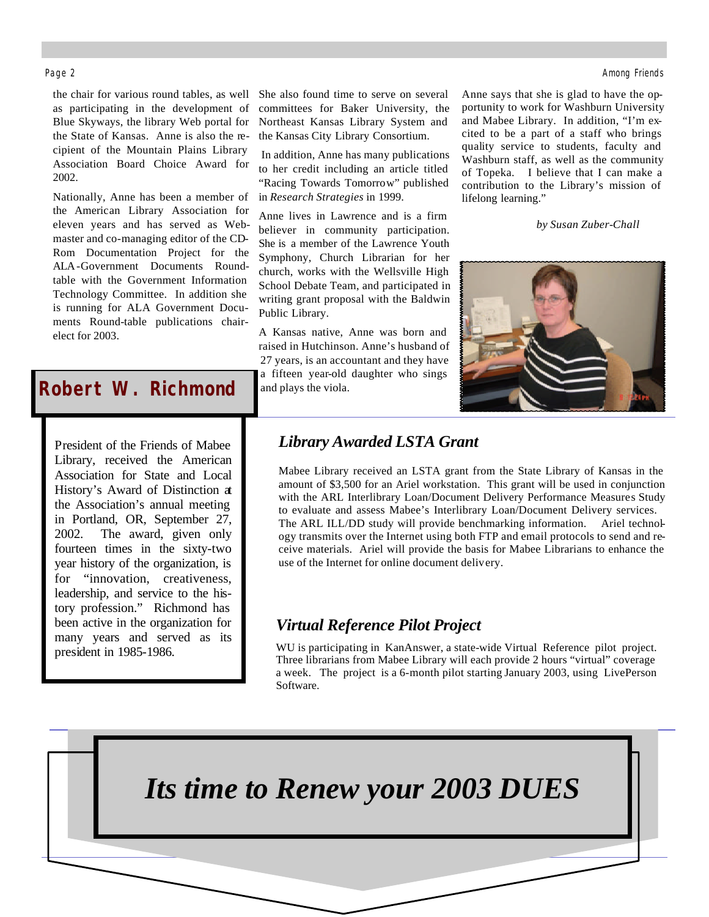the chair for various round tables, as well as participating in the development of Blue Skyways, the library Web portal for the State of Kansas. Anne is also the recipient of the Mountain Plains Library Association Board Choice Award for 2002.

Nationally, Anne has been a member of the American Library Association for eleven years and has served as Webmaster and co-managing editor of the CD-Rom Documentation Project for the ALA-Government Documents Roundtable with the Government Information Technology Committee. In addition she is running for ALA Government Documents Round-table publications chairelect for 2003.

## *Robert W. Richmond*

President of the Friends of Mabee Library, received the American Association for State and Local History's Award of Distinction at the Association's annual meeting in Portland, OR, September 27, 2002. The award, given only fourteen times in the sixty-two year history of the organization, is for "innovation, creativeness, leadership, and service to the history profession." Richmond has been active in the organization for many years and served as its president in 1985-1986.

Î

She also found time to serve on several committees for Baker University, the Northeast Kansas Library System and the Kansas City Library Consortium.

 In addition, Anne has many publications to her credit including an article titled "Racing Towards Tomorrow" published in *Research Strategies* in 1999.

Anne lives in Lawrence and is a firm believer in community participation. She is a member of the Lawrence Youth Symphony, Church Librarian for her church, works with the Wellsville High School Debate Team, and participated in writing grant proposal with the Baldwin Public Library.

A Kansas native, Anne was born and raised in Hutchinson. Anne's husband of 27 years, is an accountant and they have a fifteen year-old daughter who sings and plays the viola.

Anne says that she is glad to have the opportunity to work for Washburn University and Mabee Library. In addition, "I'm excited to be a part of a staff who brings quality service to students, faculty and Washburn staff, as well as the community of Topeka. I believe that I can make a contribution to the Library's mission of lifelong learning."

*by Susan Zuber-Chall*



## *Library Awarded LSTA Grant*

Mabee Library received an LSTA grant from the State Library of Kansas in the amount of \$3,500 for an Ariel workstation. This grant will be used in conjunction with the ARL Interlibrary Loan/Document Delivery Performance Measures Study to evaluate and assess Mabee's Interlibrary Loan/Document Delivery services. The ARL ILL/DD study will provide benchmarking information. Ariel technology transmits over the Internet using both FTP and email protocols to send and receive materials. Ariel will provide the basis for Mabee Librarians to enhance the use of the Internet for online document delivery.

### *Virtual Reference Pilot Project*

WU is participating in KanAnswer, a state-wide Virtual Reference pilot project. Three librarians from Mabee Library will each provide 2 hours "virtual" coverage a week. The project is a 6-month pilot starting January 2003, using LivePerson Software.

*Its time to Renew your 2003 DUES*

#### Page 2 Among Friends and the second second second second second second second second second second second second second second second second second second second second second second second second second second second seco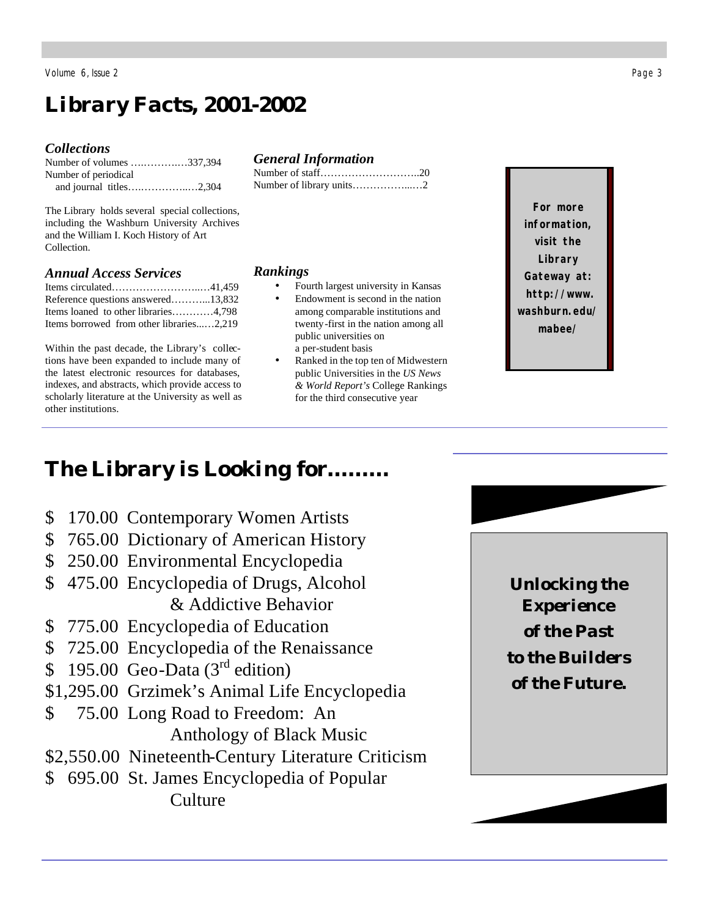Volume 6, Issue 2 Page 3

# *Library Facts, 2001-2002*

#### *Collections*

| Number of volumes 337,394 |  |
|---------------------------|--|
| Number of periodical      |  |
|                           |  |

The Library holds several special collections, including the Washburn University Archives and the William I. Koch History of Art Collection.

#### *Annual Access Services*

| Reference questions answered13,832       |  |
|------------------------------------------|--|
| Items loaned to other libraries4,798     |  |
| Items borrowed from other libraries2.219 |  |

Within the past decade, the Library's collections have been expanded to include many of the latest electronic resources for databases, indexes, and abstracts, which provide access to scholarly literature at the University as well as other institutions.

#### *General Information*

#### *Rankings*

- Fourth largest university in Kansas
	- Endowment is second in the nation among comparable institutions and twenty-first in the nation among all public universities on a per-student basis
	- Ranked in the top ten of Midwestern public Universities in the *US News & World Report's* College Rankings for the third consecutive year

**For more information, visit the Library Gateway at: http://www. washburn.edu/ mabee/**

# *The Library is Looking for………*

- \$ 170.00 Contemporary Women Artists
- \$ 765.00 Dictionary of American History
- \$250.00 Environmental Encyclopedia
- \$ 475.00 Encyclopedia of Drugs, Alcohol & Addictive Behavior
- \$ 775.00 Encyclopedia of Education
- \$ 725.00 Encyclopedia of the Renaissance
- \$ 195.00 Geo-Data  $(3<sup>rd</sup>$  edition)
- \$1,295.00 Grzimek's Animal Life Encyclopedia
- \$ 75.00 Long Road to Freedom: An Anthology of Black Music
- \$2,550.00 Nineteenth-Century Literature Criticism
- \$ 695.00 St. James Encyclopedia of Popular Culture